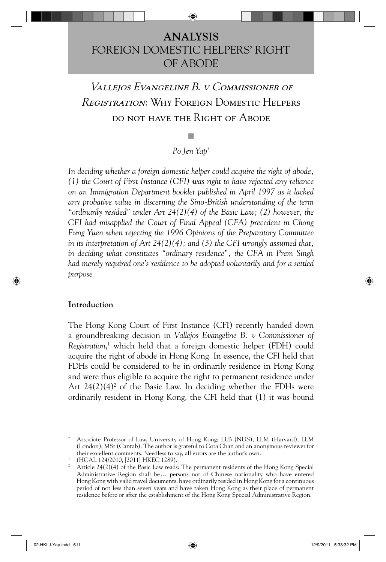## **ANALYSIS** FOREIGN DOMESTIC HELPERS' RIGHT OF ABODE

# Vallejos Evangeline B. v Commissioner of Registration: Why Foreign Domestic Helpers do not have the Right of Abode

### *Po Jen Yap*\*

*In deciding whether a foreign domestic helper could acquire the right of abode, (1) the Court of First Instance (CFI) was right to have rejected any reliance on an Immigration Department booklet published in April 1997 as it lacked any probative value in discerning the Sino-British understanding of the term "ordinarily resided" under Art 24(2)(4) of the Basic Law; (2) however, the CFI had misapplied the Court of Final Appeal (CFA) precedent in Chong Fung Yuen when rejecting the 1996 Opinions of the Preparatory Committee in its interpretation of Art 24(2)(4); and (3) the CFI wrongly assumed that, in deciding what constitutes "ordinary residence", the CFA in Prem Singh had merely required one's residence to be adopted voluntarily and for a settled purpose.*

#### **Introduction**

The Hong Kong Court of First Instance (CFI) recently handed down a groundbreaking decision in *Vallejos Evangeline B. v Commissioner of Registration*, 1 which held that a foreign domestic helper (FDH) could acquire the right of abode in Hong Kong. In essence, the CFI held that FDHs could be considered to be in ordinarily residence in Hong Kong and were thus eligible to acquire the right to permanent residence under Art  $24(2)(4)^2$  of the Basic Law. In deciding whether the FDHs were ordinarily resident in Hong Kong, the CFI held that (1) it was bound

<sup>\*</sup> Associate Professor of Law, University of Hong Kong; LLB (NUS), LLM (Harvard), LLM (London), MSt (Cantab). The author is grateful to Cora Chan and an anonymous reviewer for their excellent comments. Needless to say, all errors are the author's own.

<sup>1 (</sup>HCAL 124/2010, [2011] HKEC 1289).

<sup>&</sup>lt;sup>2</sup> Article 24(2)(4) of the Basic Law reads: The permanent residents of the Hong Kong Special Administrative Region shall be … persons not of Chinese nationality who have entered Hong Kong with valid travel documents, have ordinarily resided in Hong Kong for a continuous period of not less than seven years and have taken Hong Kong as their place of permanent residence before or after the establishment of the Hong Kong Special Administrative Region.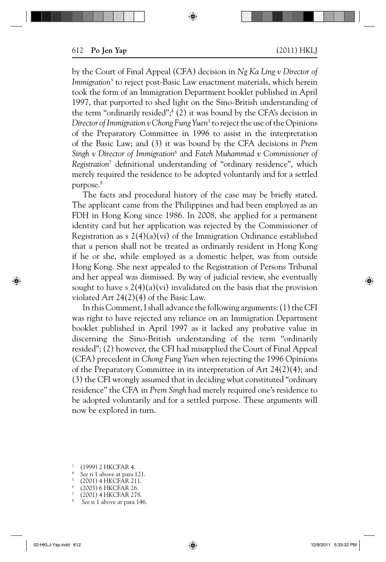by the Court of Final Appeal (CFA) decision in *Ng Ka Ling v Director of Immigration*<sup>3</sup> to reject post-Basic Law enactment materials, which herein took the form of an Immigration Department booklet published in April 1997, that purported to shed light on the Sino-British understanding of the term "ordinarily resided";<sup>4</sup> (2) it was bound by the CFA's decision in *Director of Immigration v Chong Fung Yuen<sup>5</sup> to reject the use of the Opinions* of the Preparatory Committee in 1996 to assist in the interpretation of the Basic Law; and (3) it was bound by the CFA decisions *in Prem Singh v Director of Immigration*<sup>6</sup> and *Fateh Muhammad v Commissioner of Registration<sup>7</sup>* definitional understanding of "ordinary residence", which merely required the residence to be adopted voluntarily and for a settled purpose.8

The facts and procedural history of the case may be briefly stated. The applicant came from the Philippines and had been employed as an FDH in Hong Kong since 1986. In 2008, she applied for a permanent identity card but her application was rejected by the Commissioner of Registration as  $2(4)(a)(vi)$  of the Immigration Ordinance established that a person shall not be treated as ordinarily resident in Hong Kong if he or she, while employed as a domestic helper, was from outside Hong Kong. She next appealed to the Registration of Persons Tribunal and her appeal was dismissed. By way of judicial review, she eventually sought to have s  $2(4)(a)(vi)$  invalidated on the basis that the provision violated Art 24(2)(4) of the Basic Law.

In this Comment, I shall advance the following arguments: (1) the CFI was right to have rejected any reliance on an Immigration Department booklet published in April 1997 as it lacked any probative value in discerning the Sino-British understanding of the term "ordinarily resided"; (2) however, the CFI had misapplied the Court of Final Appeal (CFA) precedent in *Chong Fung Yuen* when rejecting the 1996 Opinions of the Preparatory Committee in its interpretation of Art 24(2)(4); and (3) the CFI wrongly assumed that in deciding what constituted "ordinary residence" the CFA in *Prem Singh* had merely required one's residence to be adopted voluntarily and for a settled purpose. These arguments will now be explored in turn.

- $(1999)$  2 HKCFAR 4.
- 
- <sup>4</sup>*See* n 1 above at para 121. 5 (2001) 4 HKCFAR 211.
- 6 (2003) 6 HKCFAR 26.
- 
- 7 (2001) 4 HKCFAR 278. 8 *See* n 1 above at para 146.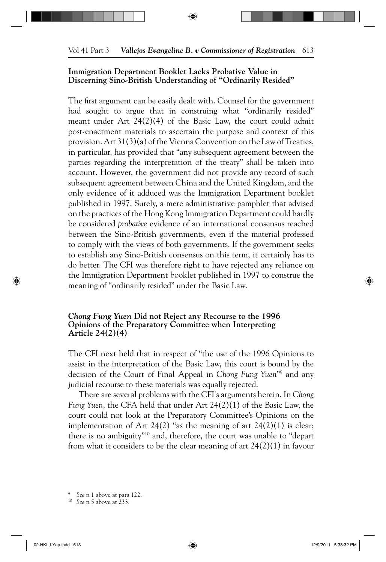#### **Immigration Department Booklet Lacks Probative Value in Discerning Sino-British Understanding of "Ordinarily Resided"**

The first argument can be easily dealt with. Counsel for the government had sought to argue that in construing what "ordinarily resided" meant under Art 24(2)(4) of the Basic Law, the court could admit post-enactment materials to ascertain the purpose and context of this provision. Art 31(3)(a) of the Vienna Convention on the Law of Treaties, in particular, has provided that "any subsequent agreement between the parties regarding the interpretation of the treaty" shall be taken into account. However, the government did not provide any record of such subsequent agreement between China and the United Kingdom, and the only evidence of it adduced was the Immigration Department booklet published in 1997. Surely, a mere administrative pamphlet that advised on the practices of the Hong Kong Immigration Department could hardly be considered *probative* evidence of an international consensus reached between the Sino-British governments, even if the material professed to comply with the views of both governments. If the government seeks to establish any Sino-British consensus on this term, it certainly has to do better. The CFI was therefore right to have rejected any reliance on the Immigration Department booklet published in 1997 to construe the meaning of "ordinarily resided" under the Basic Law.

#### *Chong Fung Yuen* **Did not Reject any Recourse to the 1996 Opinions of the Preparatory Committee when Interpreting Article 24(2)(4)**

The CFI next held that in respect of "the use of the 1996 Opinions to assist in the interpretation of the Basic Law, this court is bound by the decision of the Court of Final Appeal in *Chong Fung Yuen*"9 and any judicial recourse to these materials was equally rejected.

There are several problems with the CFI's arguments herein. In *Chong Fung Yuen*, the CFA held that under Art 24(2)(1) of the Basic Law, the court could not look at the Preparatory Committee's Opinions on the implementation of Art 24(2) "as the meaning of art  $24(2)(1)$  is clear; there is no ambiguity"10 and, therefore, the court was unable to "depart from what it considers to be the clear meaning of art 24(2)(1) in favour

<sup>9</sup>*See* n 1 above at para 122. 10 *See* n 5 above at 233.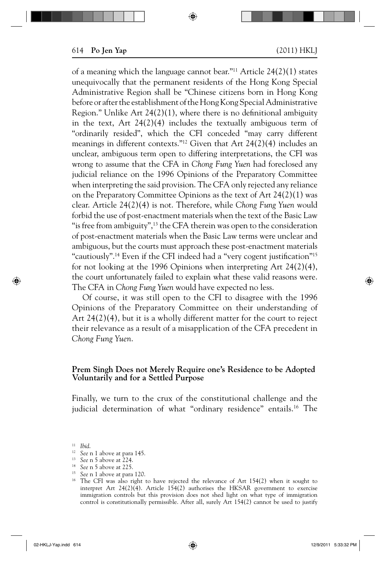of a meaning which the language cannot bear."11 Article 24(2)(1) states unequivocally that the permanent residents of the Hong Kong Special Administrative Region shall be "Chinese citizens born in Hong Kong before or after the establishment of the Hong Kong Special Administrative Region." Unlike Art  $24(2)(1)$ , where there is no definitional ambiguity in the text, Art 24(2)(4) includes the textually ambiguous term of "ordinarily resided", which the CFI conceded "may carry different meanings in different contexts."12 Given that Art 24(2)(4) includes an unclear, ambiguous term open to differing interpretations, the CFI was wrong to assume that the CFA in *Chong Fung Yuen* had foreclosed any judicial reliance on the 1996 Opinions of the Preparatory Committee when interpreting the said provision. The CFA only rejected any reliance on the Preparatory Committee Opinions as the text of Art 24(2)(1) was clear. Article 24(2)(4) is not. Therefore, while *Chong Fung Yuen* would forbid the use of post-enactment materials when the text of the Basic Law " is free from ambiguity", $^{13}$  the CFA therein was open to the consideration of post-enactment materials when the Basic Law terms were unclear and ambiguous, but the courts must approach these post-enactment materials "cautiously".<sup>14</sup> Even if the CFI indeed had a "very cogent justification"<sup>15</sup> for not looking at the 1996 Opinions when interpreting Art 24(2)(4), the court unfortunately failed to explain what these valid reasons were. The CFA in *Chong Fung Yuen* would have expected no less.

Of course, it was still open to the CFI to disagree with the 1996 Opinions of the Preparatory Committee on their understanding of Art 24(2)(4), but it is a wholly different matter for the court to reject their relevance as a result of a misapplication of the CFA precedent in *Chong Fung Yuen*.

#### **Prem Singh Does not Merely Require one's Residence to be Adopted Voluntarily and for a Settled Purpose**

Finally, we turn to the crux of the constitutional challenge and the judicial determination of what "ordinary residence" entails.<sup>16</sup> The

- <sup>11</sup>*Ibid*. 12 *See* n 1 above at para 145.
- <sup>13</sup> See n 5 above at 224.<br><sup>14</sup> See n 5 above at 225.
- 
- 

<sup>&</sup>lt;sup>15</sup> See n 1 above at para 120.<br><sup>16</sup> The CFI was also right to have rejected the relevance of Art 154(2) when it sought to interpret Art  $24(2)(4)$ . Article  $154(2)$  authorises the HKSAR government to exercise immigration controls but this provision does not shed light on what type of immigration control is constitutionally permissible. After all, surely Art 154(2) cannot be used to justify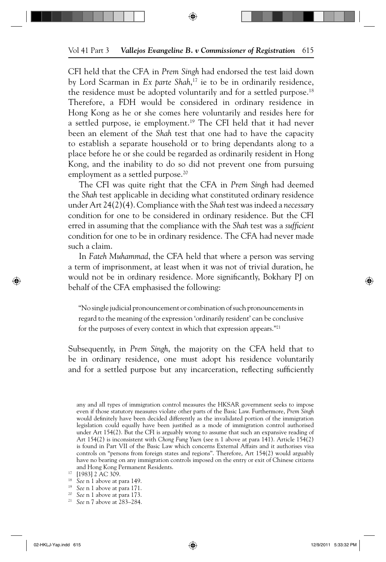CFI held that the CFA in *Prem Singh* had endorsed the test laid down by Lord Scarman in *Ex parte Shah*, 17 ie to be in ordinarily residence, the residence must be adopted voluntarily and for a settled purpose.<sup>18</sup> Therefore, a FDH would be considered in ordinary residence in Hong Kong as he or she comes here voluntarily and resides here for a settled purpose, ie employment.19 The CFI held that it had never been an element of the *Shah* test that one had to have the capacity to establish a separate household or to bring dependants along to a place before he or she could be regarded as ordinarily resident in Hong Kong, and the inability to do so did not prevent one from pursuing employment as a settled purpose.<sup>20</sup>

The CFI was quite right that the CFA in *Prem Singh* had deemed the *Shah* test applicable in deciding what constituted ordinary residence under Art 24(2)(4). Compliance with the *Shah* test was indeed a *necessary* condition for one to be considered in ordinary residence. But the CFI erred in assuming that the compliance with the *Shah* test was a *sufficient* condition for one to be in ordinary residence. The CFA had never made such a claim.

In *Fateh Muhammad*, the CFA held that where a person was serving a term of imprisonment, at least when it was not of trivial duration, he would not be in ordinary residence. More significantly, Bokhary PJ on behalf of the CFA emphasised the following:

"No single judicial pronouncement or combination of such pronouncements in regard to the meaning of the expression 'ordinarily resident' can be conclusive for the purposes of every context in which that expression appears."21

Subsequently, in *Prem Singh*, the majority on the CFA held that to be in ordinary residence, one must adopt his residence voluntarily and for a settled purpose but any incarceration, reflecting sufficiently

any and all types of immigration control measures the HKSAR government seeks to impose even if those statutory measures violate other parts of the Basic Law. Furthermore, *Prem Singh*  would definitely have been decided differently as the invalidated portion of the immigration legislation could equally have been justified as a mode of immigration control authorised under Art 154(2). But the CFI is arguably wrong to assume that such an expansive reading of Art 154(2) is inconsistent with *Chong Fung Yuen* (see n 1 above at para 141). Article 154(2) is found in Part VII of the Basic Law which concerns External Affairs and it authorises visa controls on "persons from foreign states and regions". Therefore, Art 154(2) would arguably have no bearing on any immigration controls imposed on the entry or exit of Chinese citizens and Hong Kong Permanent Residents.<br><sup>17</sup> [1983] 2 AC 309.<br><sup>18</sup> *See* n 1 above at para 149.<br><sup>19</sup> *See* n 1 above at para 171.<br><sup>20</sup> *See* n 7 above at 283–284.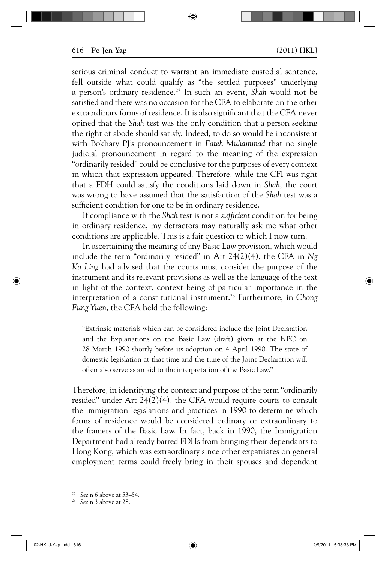serious criminal conduct to warrant an immediate custodial sentence, fell outside what could qualify as "the settled purposes" underlying a person's ordinary residence.22 In such an event, *Shah* would not be satisfied and there was no occasion for the CFA to elaborate on the other extraordinary forms of residence. It is also significant that the CFA never opined that the *Shah* test was the only condition that a person seeking the right of abode should satisfy. Indeed, to do so would be inconsistent with Bokhary PJ's pronouncement in *Fateh Muhammad* that no single judicial pronouncement in regard to the meaning of the expression "ordinarily resided" could be conclusive for the purposes of every context in which that expression appeared. Therefore, while the CFI was right that a FDH could satisfy the conditions laid down in *Shah*, the court was wrong to have assumed that the satisfaction of the *Shah* test was a sufficient condition for one to be in ordinary residence.

If compliance with the *Shah* test is not a *sufficient* condition for being in ordinary residence, my detractors may naturally ask me what other conditions are applicable. This is a fair question to which I now turn.

In ascertaining the meaning of any Basic Law provision, which would include the term "ordinarily resided" in Art 24(2)(4), the CFA in *Ng Ka Ling* had advised that the courts must consider the purpose of the instrument and its relevant provisions as well as the language of the text in light of the context, context being of particular importance in the interpretation of a constitutional instrument.23 Furthermore, in *Chong Fung Yuen*, the CFA held the following:

"Extrinsic materials which can be considered include the Joint Declaration and the Explanations on the Basic Law (draft) given at the NPC on 28 March 1990 shortly before its adoption on 4 April 1990. The state of domestic legislation at that time and the time of the Joint Declaration will often also serve as an aid to the interpretation of the Basic Law."

Therefore, in identifying the context and purpose of the term "ordinarily resided" under Art 24(2)(4), the CFA would require courts to consult the immigration legislations and practices in 1990 to determine which forms of residence would be considered ordinary or extraordinary to the framers of the Basic Law. In fact, back in 1990, the Immigration Department had already barred FDHs from bringing their dependants to Hong Kong, which was extraordinary since other expatriates on general employment terms could freely bring in their spouses and dependent

<sup>22</sup>*See* n 6 above at 53–54. 23 *See* n 3 above at 28.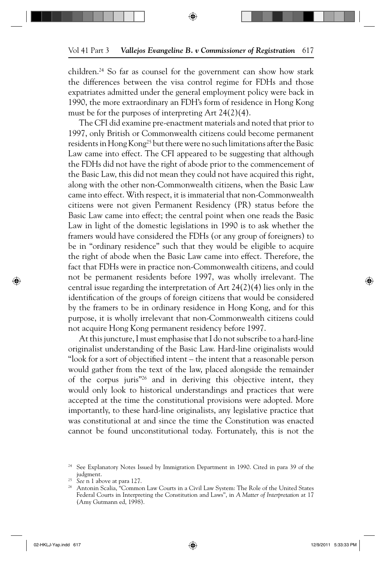children.24 So far as counsel for the government can show how stark the differences between the visa control regime for FDHs and those expatriates admitted under the general employment policy were back in 1990, the more extraordinary an FDH's form of residence in Hong Kong must be for the purposes of interpreting Art 24(2)(4).

The CFI did examine pre-enactment materials and noted that prior to 1997, only British or Commonwealth citizens could become permanent residents in Hong Kong<sup>25</sup> but there were no such limitations after the Basic Law came into effect. The CFI appeared to be suggesting that although the FDHs did not have the right of abode prior to the commencement of the Basic Law, this did not mean they could not have acquired this right, along with the other non-Commonwealth citizens, when the Basic Law came into effect. With respect, it is immaterial that non-Commonwealth citizens were not given Permanent Residency (PR) status before the Basic Law came into effect; the central point when one reads the Basic Law in light of the domestic legislations in 1990 is to ask whether the framers would have considered the FDHs (or any group of foreigners) to be in "ordinary residence" such that they would be eligible to acquire the right of abode when the Basic Law came into effect. Therefore, the fact that FDHs were in practice non-Commonwealth citizens, and could not be permanent residents before 1997, was wholly irrelevant. The central issue regarding the interpretation of Art 24(2)(4) lies only in the identification of the groups of foreign citizens that would be considered by the framers to be in ordinary residence in Hong Kong, and for this purpose, it is wholly irrelevant that non-Commonwealth citizens could not acquire Hong Kong permanent residency before 1997.

At this juncture, I must emphasise that I do not subscribe to a hard-line originalist understanding of the Basic Law. Hard-line originalists would "look for a sort of objectified intent – the intent that a reasonable person would gather from the text of the law, placed alongside the remainder of the corpus juris $n^{26}$  and in deriving this objective intent, they would only look to historical understandings and practices that were accepted at the time the constitutional provisions were adopted. More importantly, to these hard-line originalists, any legislative practice that was constitutional at and since the time the Constitution was enacted cannot be found unconstitutional today. Fortunately, this is not the

<sup>&</sup>lt;sup>24</sup> See Explanatory Notes Issued by Immigration Department in 1990. Cited in para 39 of the

judgment. 25 *See* n 1 above at para 127. 26 Antonin Scalia, "Common Law Courts in a Civil Law System: The Role of the United States Federal Courts in Interpreting the Constitution and Laws", in *A Matter of Interpretation* at 17 (Amy Gutmann ed, 1998).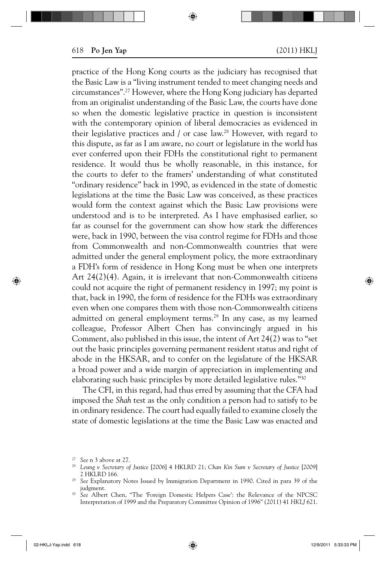practice of the Hong Kong courts as the judiciary has recognised that the Basic Law is a "living instrument tended to meet changing needs and circumstances".27 However, where the Hong Kong judiciary has departed from an originalist understanding of the Basic Law, the courts have done so when the domestic legislative practice in question is inconsistent with the contemporary opinion of liberal democracies as evidenced in their legislative practices and  $\ell$  or case law.<sup>28</sup> However, with regard to this dispute, as far as I am aware, no court or legislature in the world has ever conferred upon their FDHs the constitutional right to permanent residence. It would thus be wholly reasonable, in this instance, for the courts to defer to the framers' understanding of what constituted "ordinary residence" back in 1990, as evidenced in the state of domestic legislations at the time the Basic Law was conceived, as these practices would form the context against which the Basic Law provisions were understood and is to be interpreted. As I have emphasised earlier, so far as counsel for the government can show how stark the differences were, back in 1990, between the visa control regime for FDHs and those from Commonwealth and non-Commonwealth countries that were admitted under the general employment policy, the more extraordinary a FDH's form of residence in Hong Kong must be when one interprets Art 24(2)(4). Again, it is irrelevant that non-Commonwealth citizens could not acquire the right of permanent residency in 1997; my point is that, back in 1990, the form of residence for the FDHs was extraordinary even when one compares them with those non-Commonwealth citizens admitted on general employment terms.<sup>29</sup> In any case, as my learned colleague, Professor Albert Chen has convincingly argued in his Comment, also published in this issue, the intent of Art 24(2) was to "set out the basic principles governing permanent resident status and right of abode in the HKSAR, and to confer on the legislature of the HKSAR a broad power and a wide margin of appreciation in implementing and elaborating such basic principles by more detailed legislative rules."30

The CFI, in this regard, had thus erred by assuming that the CFA had imposed the *Shah* test as the only condition a person had to satisfy to be in ordinary residence. The court had equally failed to examine closely the state of domestic legislations at the time the Basic Law was enacted and

<sup>27</sup>*See* n 3 above at 27.

<sup>28</sup>*Leung v Secretary of Justice* [2006] 4 HKLRD 21; *Chan Kin Sum v Secretary of Justice* [2009] 2 HKLRD 166.

<sup>29</sup>*See* Explanatory Notes Issued by Immigration Department in 1990. Cited in para 39 of the judgment.

<sup>30</sup>*See* Albert Chen, "The 'Foreign Domestic Helpers Case': the Relevance of the NPCSC Interpretation of 1999 and the Preparatory Committee Opinion of 1996" (2011) 41 *HKLJ* 621.